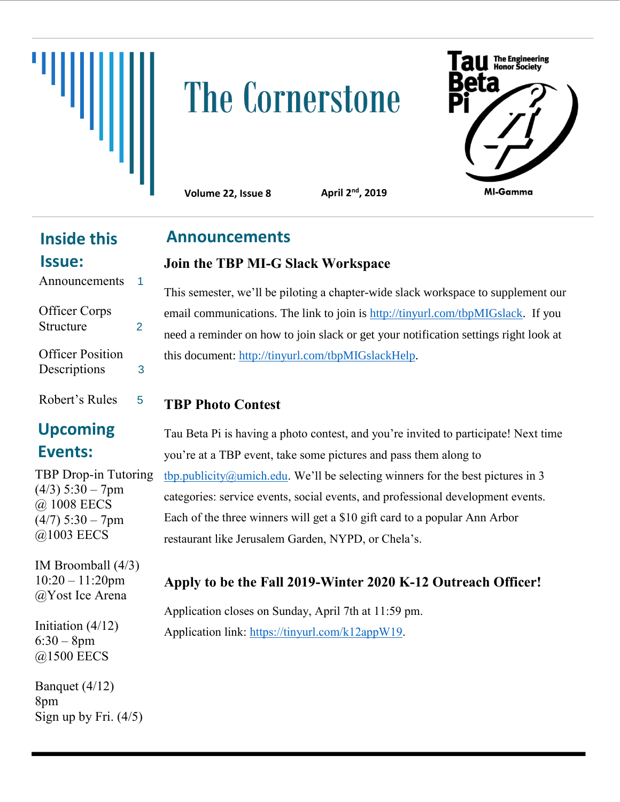

# The Cornerstone



**Volume 22, Issue 8** 

**Announcements**

April 2<sup>nd</sup>, 2019

# **Inside this Issue:**

| Announcements                    |   |
|----------------------------------|---|
| Officer Corps<br>Structure       | 2 |
| Officer Position<br>Descriptions | 3 |
| Robert's Rules                   |   |

# **Upcoming Events:**

TBP Drop-in Tutoring  $(4/3)$  5:30 – 7pm @ 1008 EECS  $(4/7)$  5:30 – 7pm @1003 EECS

IM Broomball (4/3) 10:20 – 11:20pm @Yost Ice Arena

Initiation (4/12)  $6:30 - 8pm$ @1500 EECS

Banquet (4/12) 8pm Sign up by Fri.  $(4/5)$  **Join the TBP MI-G Slack Workspace**

This semester, we'll be piloting a chapter-wide slack workspace to supplement our email communications. The link to join is [http://tinyurl.com/tbpMIGslack.](http://tinyurl.com/tbpMIGslack) If you need a reminder on how to join slack or get your notification settings right look at this document: [http://tinyurl.com/tbpMIGslackHelp.](http://tinyurl.com/tbpMIGslackHelp)

### **TBP Photo Contest**

Tau Beta Pi is having a photo contest, and you're invited to participate! Next time you're at a TBP event, take some pictures and pass them along to [tbp.publicity@umich.edu](mailto:tbp.publicity@umich.edu). We'll be selecting winners for the best pictures in 3 categories: service events, social events, and professional development events. Each of the three winners will get a \$10 gift card to a popular Ann Arbor restaurant like Jerusalem Garden, NYPD, or Chela's.

# **Apply to be the Fall 2019-Winter 2020 K-12 Outreach Officer!**

Application closes on Sunday, April 7th at 11:59 pm. Application link: [https://tinyurl.com/k12appW19.](https://tinyurl.com/k12appW19)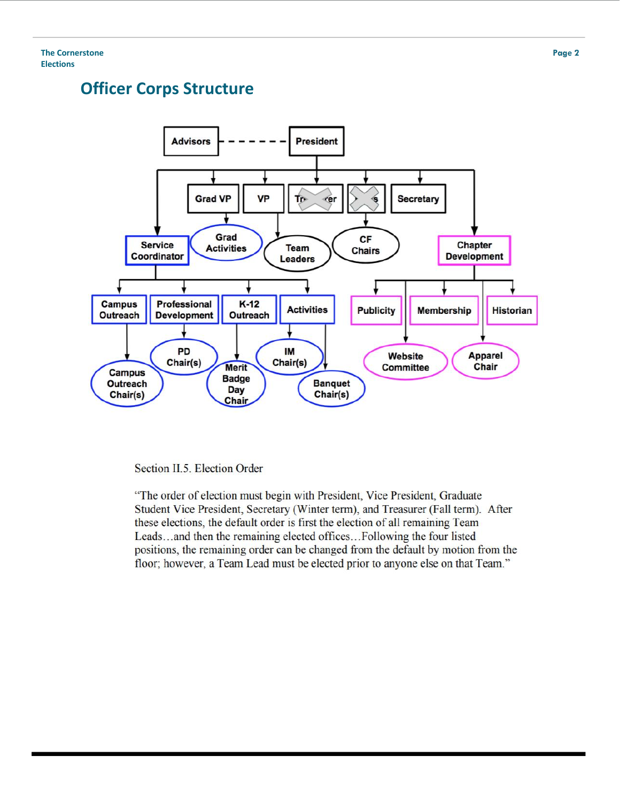# **Officer Corps Structure**



Section II.5. Election Order

"The order of election must begin with President, Vice President, Graduate Student Vice President, Secretary (Winter term), and Treasurer (Fall term). After these elections, the default order is first the election of all remaining Team Leads...and then the remaining elected offices...Following the four listed positions, the remaining order can be changed from the default by motion from the floor; however, a Team Lead must be elected prior to anyone else on that Team."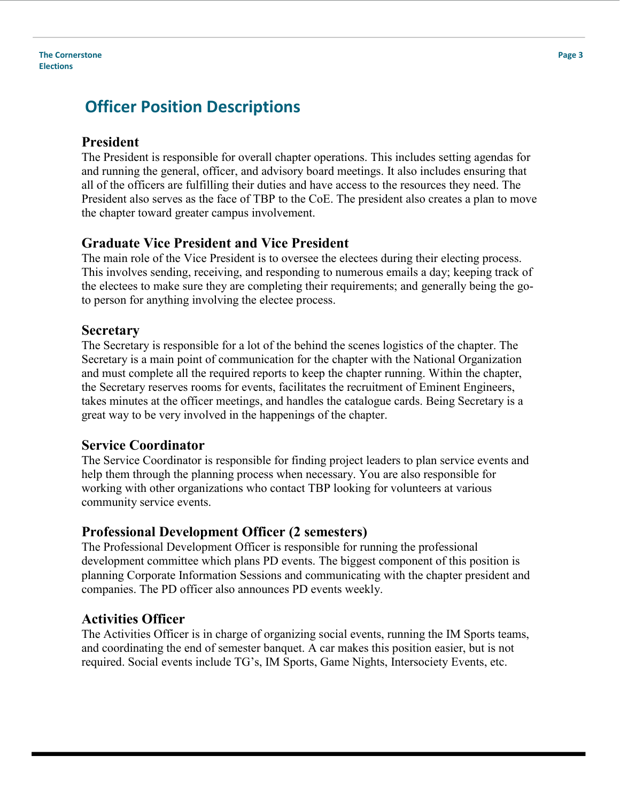#### **The Cornerstone Elections**

# **Officer Position Descriptions**

#### **President**

The President is responsible for overall chapter operations. This includes setting agendas for and running the general, officer, and advisory board meetings. It also includes ensuring that all of the officers are fulfilling their duties and have access to the resources they need. The President also serves as the face of TBP to the CoE. The president also creates a plan to move the chapter toward greater campus involvement.

#### **Graduate Vice President and Vice President**

The main role of the Vice President is to oversee the electees during their electing process. This involves sending, receiving, and responding to numerous emails a day; keeping track of the electees to make sure they are completing their requirements; and generally being the goto person for anything involving the electee process.

#### **Secretary**

The Secretary is responsible for a lot of the behind the scenes logistics of the chapter. The Secretary is a main point of communication for the chapter with the National Organization and must complete all the required reports to keep the chapter running. Within the chapter, the Secretary reserves rooms for events, facilitates the recruitment of Eminent Engineers, takes minutes at the officer meetings, and handles the catalogue cards. Being Secretary is a great way to be very involved in the happenings of the chapter.

#### **Service Coordinator**

The Service Coordinator is responsible for finding project leaders to plan service events and help them through the planning process when necessary. You are also responsible for working with other organizations who contact TBP looking for volunteers at various community service events.

#### **Professional Development Officer (2 semesters)**

The Professional Development Officer is responsible for running the professional development committee which plans PD events. The biggest component of this position is planning Corporate Information Sessions and communicating with the chapter president and companies. The PD officer also announces PD events weekly.

#### **Activities Officer**

The Activities Officer is in charge of organizing social events, running the IM Sports teams, and coordinating the end of semester banquet. A car makes this position easier, but is not required. Social events include TG's, IM Sports, Game Nights, Intersociety Events, etc.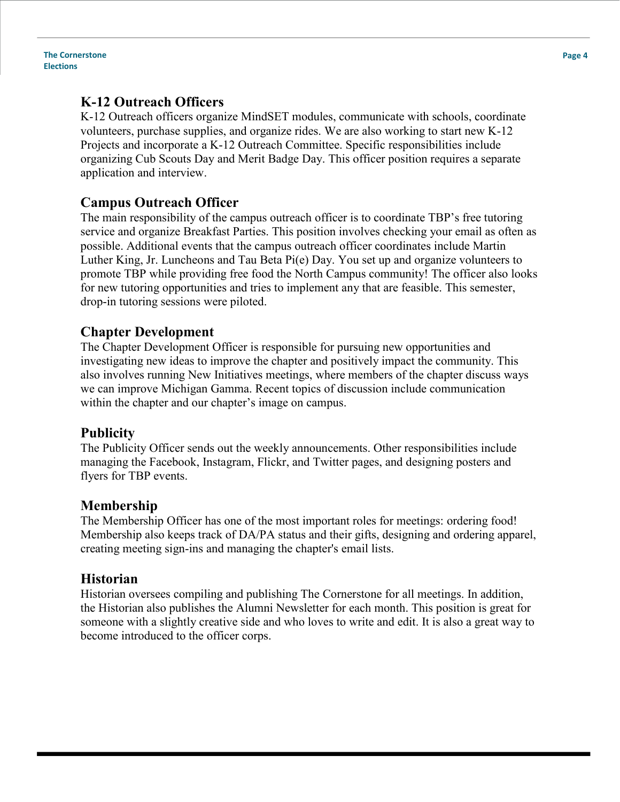**The Cornerstone Elections**

#### **K-12 Outreach Officers**

K-12 Outreach officers organize MindSET modules, communicate with schools, coordinate volunteers, purchase supplies, and organize rides. We are also working to start new K-12 Projects and incorporate a K-12 Outreach Committee. Specific responsibilities include organizing Cub Scouts Day and Merit Badge Day. This officer position requires a separate application and interview.

#### **Campus Outreach Officer**

The main responsibility of the campus outreach officer is to coordinate TBP's free tutoring service and organize Breakfast Parties. This position involves checking your email as often as possible. Additional events that the campus outreach officer coordinates include Martin Luther King, Jr. Luncheons and Tau Beta Pi(e) Day. You set up and organize volunteers to promote TBP while providing free food the North Campus community! The officer also looks for new tutoring opportunities and tries to implement any that are feasible. This semester, drop-in tutoring sessions were piloted.

#### **Chapter Development**

The Chapter Development Officer is responsible for pursuing new opportunities and investigating new ideas to improve the chapter and positively impact the community. This also involves running New Initiatives meetings, where members of the chapter discuss ways we can improve Michigan Gamma. Recent topics of discussion include communication within the chapter and our chapter's image on campus.

#### **Publicity**

The Publicity Officer sends out the weekly announcements. Other responsibilities include managing the Facebook, Instagram, Flickr, and Twitter pages, and designing posters and flyers for TBP events.

#### **Membership**

The Membership Officer has one of the most important roles for meetings: ordering food! Membership also keeps track of DA/PA status and their gifts, designing and ordering apparel, creating meeting sign-ins and managing the chapter's email lists.

#### **Historian**

Historian oversees compiling and publishing The Cornerstone for all meetings. In addition, the Historian also publishes the Alumni Newsletter for each month. This position is great for someone with a slightly creative side and who loves to write and edit. It is also a great way to become introduced to the officer corps.